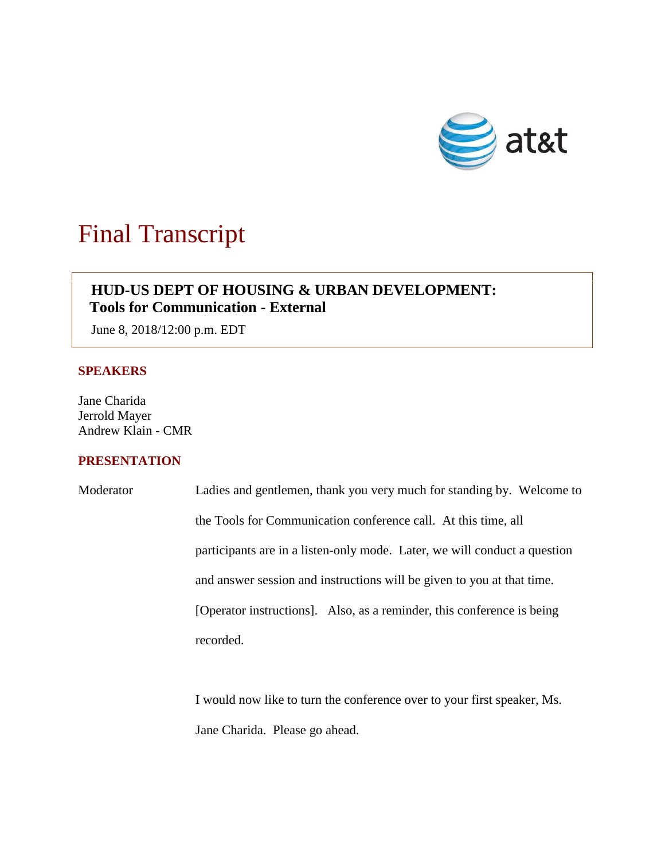

# Final Transcript

## **HUD-US DEPT OF HOUSING & URBAN DEVELOPMENT: Tools for Communication - External**

June 8, 2018/12:00 p.m. EDT

#### **SPEAKERS**

Jane Charida Jerrold Mayer Andrew Klain - CMR

### **PRESENTATION**

Moderator Ladies and gentlemen, thank you very much for standing by. Welcome to the Tools for Communication conference call. At this time, all participants are in a listen-only mode. Later, we will conduct a question and answer session and instructions will be given to you at that time. [Operator instructions]. Also, as a reminder, this conference is being recorded.

> I would now like to turn the conference over to your first speaker, Ms. Jane Charida. Please go ahead.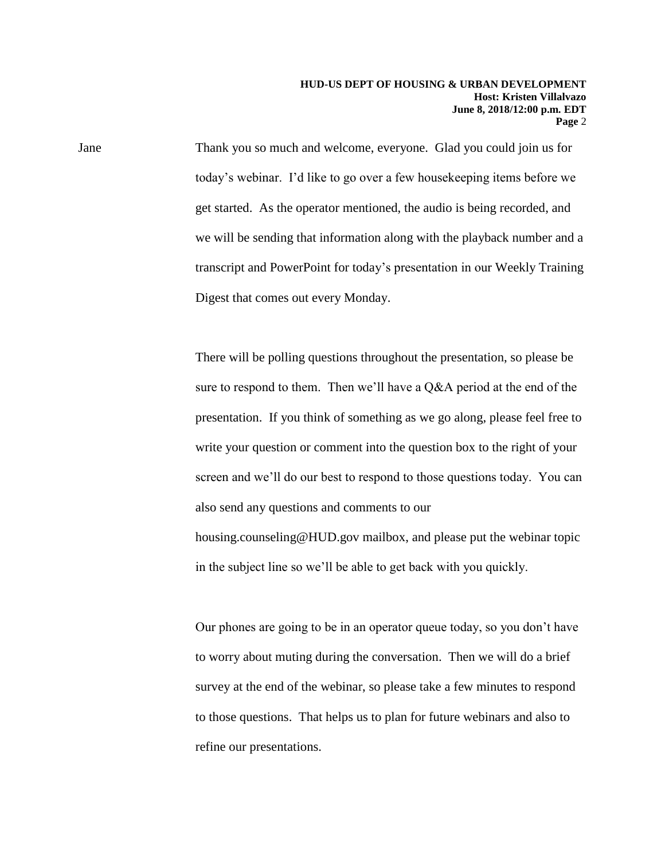Jane Thank you so much and welcome, everyone. Glad you could join us for today's webinar. I'd like to go over a few housekeeping items before we get started. As the operator mentioned, the audio is being recorded, and we will be sending that information along with the playback number and a transcript and PowerPoint for today's presentation in our Weekly Training Digest that comes out every Monday.

> There will be polling questions throughout the presentation, so please be sure to respond to them. Then we'll have a Q&A period at the end of the presentation. If you think of something as we go along, please feel free to write your question or comment into the question box to the right of your screen and we'll do our best to respond to those questions today. You can also send any questions and comments to our housing.counseling@HUD.gov mailbox, and please put the webinar topic

in the subject line so we'll be able to get back with you quickly.

Our phones are going to be in an operator queue today, so you don't have to worry about muting during the conversation. Then we will do a brief survey at the end of the webinar, so please take a few minutes to respond to those questions. That helps us to plan for future webinars and also to refine our presentations.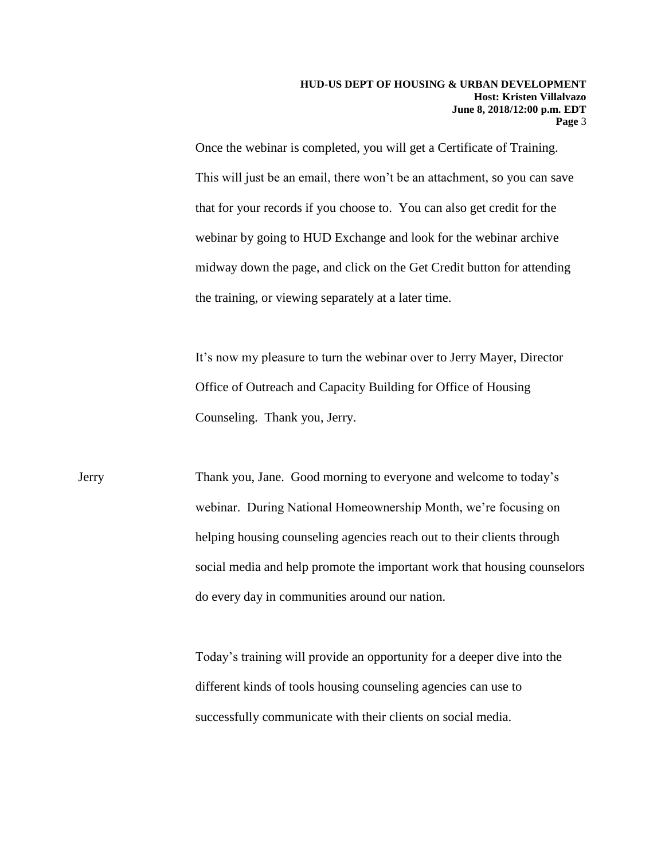Once the webinar is completed, you will get a Certificate of Training. This will just be an email, there won't be an attachment, so you can save that for your records if you choose to. You can also get credit for the webinar by going to HUD Exchange and look for the webinar archive midway down the page, and click on the Get Credit button for attending the training, or viewing separately at a later time.

It's now my pleasure to turn the webinar over to Jerry Mayer, Director Office of Outreach and Capacity Building for Office of Housing Counseling. Thank you, Jerry.

Jerry Thank you, Jane. Good morning to everyone and welcome to today's webinar. During National Homeownership Month, we're focusing on helping housing counseling agencies reach out to their clients through social media and help promote the important work that housing counselors do every day in communities around our nation.

> Today's training will provide an opportunity for a deeper dive into the different kinds of tools housing counseling agencies can use to successfully communicate with their clients on social media.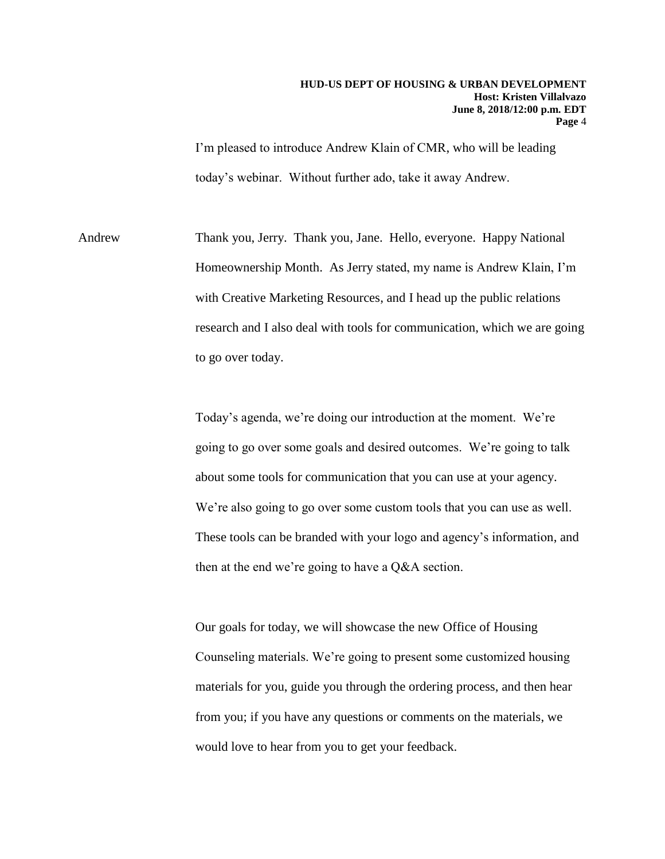I'm pleased to introduce Andrew Klain of CMR, who will be leading today's webinar. Without further ado, take it away Andrew.

Andrew Thank you, Jerry. Thank you, Jane. Hello, everyone. Happy National Homeownership Month. As Jerry stated, my name is Andrew Klain, I'm with Creative Marketing Resources, and I head up the public relations research and I also deal with tools for communication, which we are going to go over today.

> Today's agenda, we're doing our introduction at the moment. We're going to go over some goals and desired outcomes. We're going to talk about some tools for communication that you can use at your agency. We're also going to go over some custom tools that you can use as well. These tools can be branded with your logo and agency's information, and then at the end we're going to have a Q&A section.

Our goals for today, we will showcase the new Office of Housing Counseling materials. We're going to present some customized housing materials for you, guide you through the ordering process, and then hear from you; if you have any questions or comments on the materials, we would love to hear from you to get your feedback.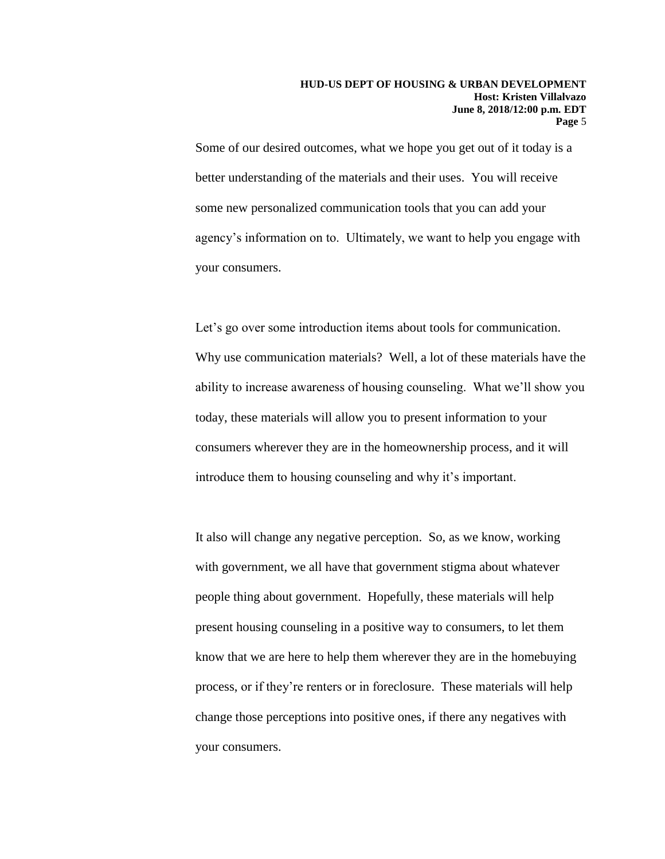Some of our desired outcomes, what we hope you get out of it today is a better understanding of the materials and their uses. You will receive some new personalized communication tools that you can add your agency's information on to. Ultimately, we want to help you engage with your consumers.

Let's go over some introduction items about tools for communication. Why use communication materials? Well, a lot of these materials have the ability to increase awareness of housing counseling. What we'll show you today, these materials will allow you to present information to your consumers wherever they are in the homeownership process, and it will introduce them to housing counseling and why it's important.

It also will change any negative perception. So, as we know, working with government, we all have that government stigma about whatever people thing about government. Hopefully, these materials will help present housing counseling in a positive way to consumers, to let them know that we are here to help them wherever they are in the homebuying process, or if they're renters or in foreclosure. These materials will help change those perceptions into positive ones, if there any negatives with your consumers.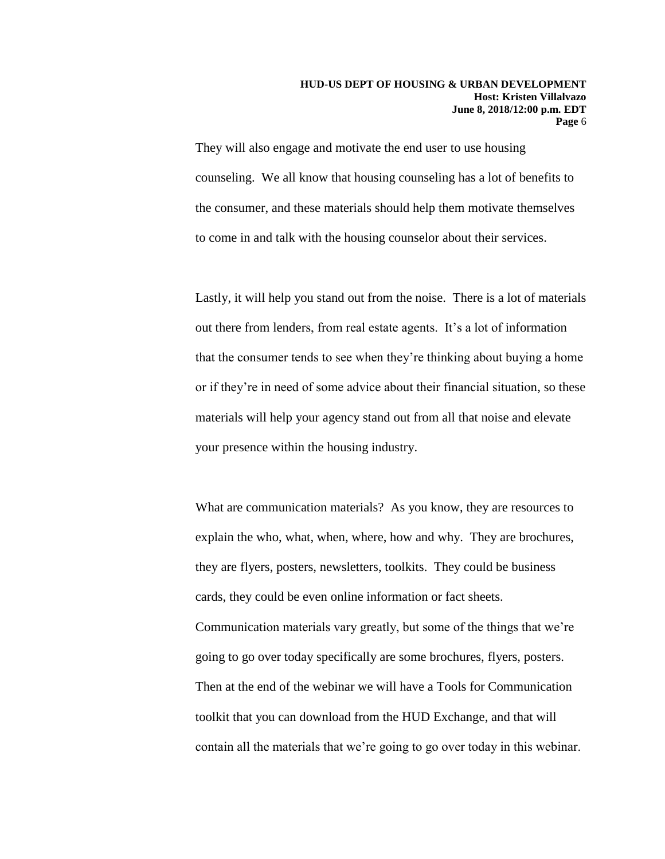They will also engage and motivate the end user to use housing counseling. We all know that housing counseling has a lot of benefits to the consumer, and these materials should help them motivate themselves to come in and talk with the housing counselor about their services.

Lastly, it will help you stand out from the noise. There is a lot of materials out there from lenders, from real estate agents. It's a lot of information that the consumer tends to see when they're thinking about buying a home or if they're in need of some advice about their financial situation, so these materials will help your agency stand out from all that noise and elevate your presence within the housing industry.

What are communication materials? As you know, they are resources to explain the who, what, when, where, how and why. They are brochures, they are flyers, posters, newsletters, toolkits. They could be business cards, they could be even online information or fact sheets. Communication materials vary greatly, but some of the things that we're going to go over today specifically are some brochures, flyers, posters. Then at the end of the webinar we will have a Tools for Communication toolkit that you can download from the HUD Exchange, and that will contain all the materials that we're going to go over today in this webinar.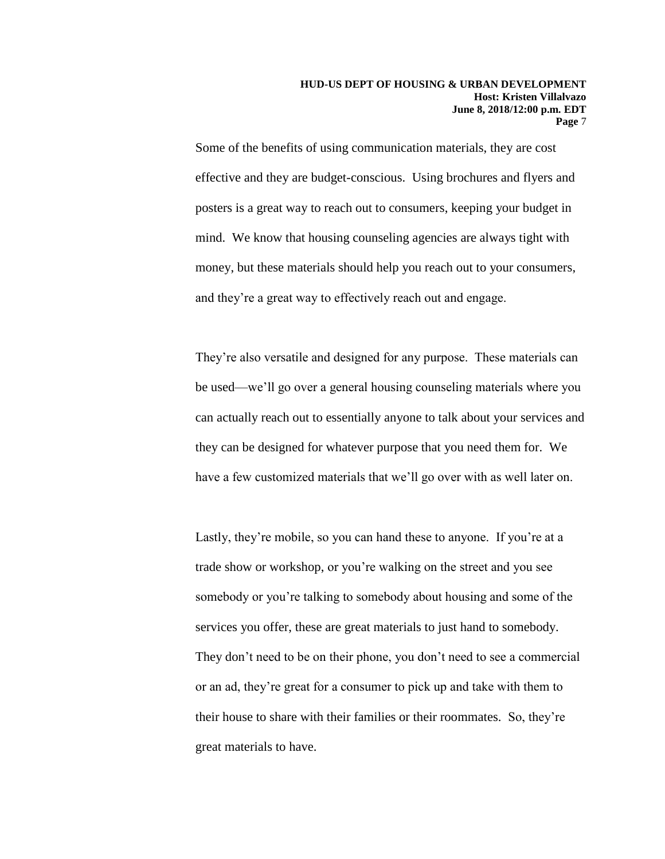Some of the benefits of using communication materials, they are cost effective and they are budget-conscious. Using brochures and flyers and posters is a great way to reach out to consumers, keeping your budget in mind. We know that housing counseling agencies are always tight with money, but these materials should help you reach out to your consumers, and they're a great way to effectively reach out and engage.

They're also versatile and designed for any purpose. These materials can be used—we'll go over a general housing counseling materials where you can actually reach out to essentially anyone to talk about your services and they can be designed for whatever purpose that you need them for. We have a few customized materials that we'll go over with as well later on.

Lastly, they're mobile, so you can hand these to anyone. If you're at a trade show or workshop, or you're walking on the street and you see somebody or you're talking to somebody about housing and some of the services you offer, these are great materials to just hand to somebody. They don't need to be on their phone, you don't need to see a commercial or an ad, they're great for a consumer to pick up and take with them to their house to share with their families or their roommates. So, they're great materials to have.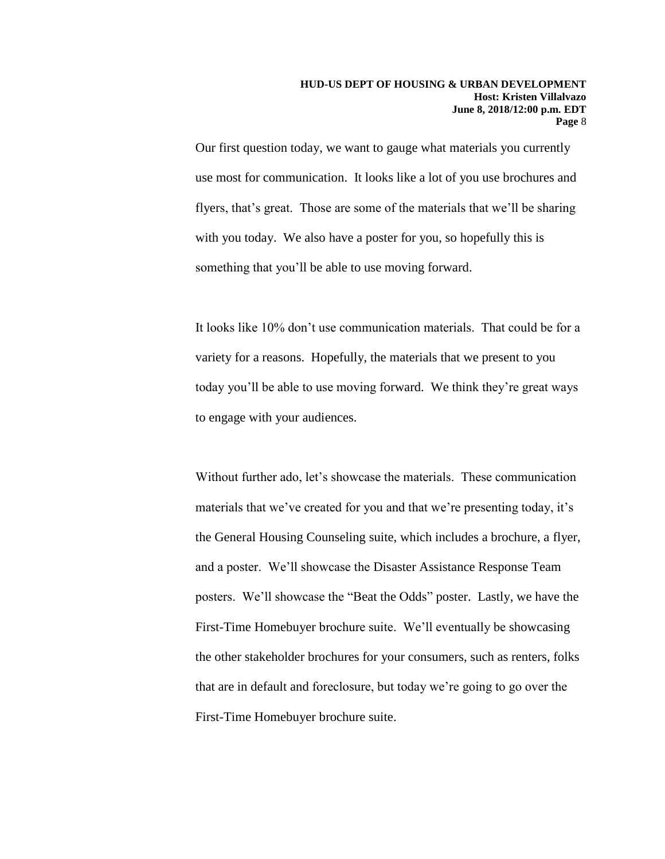Our first question today, we want to gauge what materials you currently use most for communication. It looks like a lot of you use brochures and flyers, that's great. Those are some of the materials that we'll be sharing with you today. We also have a poster for you, so hopefully this is something that you'll be able to use moving forward.

It looks like 10% don't use communication materials. That could be for a variety for a reasons. Hopefully, the materials that we present to you today you'll be able to use moving forward. We think they're great ways to engage with your audiences.

Without further ado, let's showcase the materials. These communication materials that we've created for you and that we're presenting today, it's the General Housing Counseling suite, which includes a brochure, a flyer, and a poster. We'll showcase the Disaster Assistance Response Team posters. We'll showcase the "Beat the Odds" poster. Lastly, we have the First-Time Homebuyer brochure suite. We'll eventually be showcasing the other stakeholder brochures for your consumers, such as renters, folks that are in default and foreclosure, but today we're going to go over the First-Time Homebuyer brochure suite.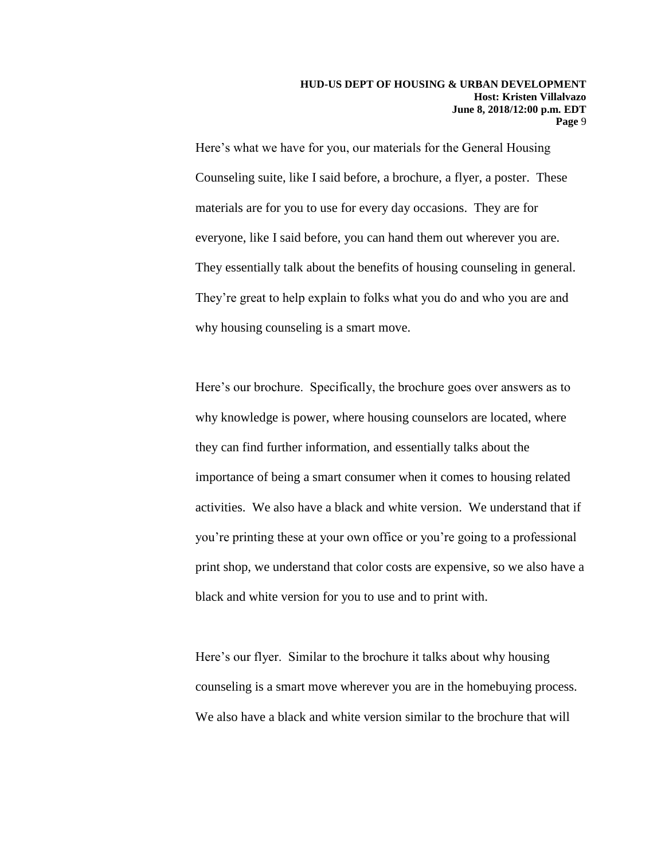Here's what we have for you, our materials for the General Housing Counseling suite, like I said before, a brochure, a flyer, a poster. These materials are for you to use for every day occasions. They are for everyone, like I said before, you can hand them out wherever you are. They essentially talk about the benefits of housing counseling in general. They're great to help explain to folks what you do and who you are and why housing counseling is a smart move.

Here's our brochure. Specifically, the brochure goes over answers as to why knowledge is power, where housing counselors are located, where they can find further information, and essentially talks about the importance of being a smart consumer when it comes to housing related activities. We also have a black and white version. We understand that if you're printing these at your own office or you're going to a professional print shop, we understand that color costs are expensive, so we also have a black and white version for you to use and to print with.

Here's our flyer. Similar to the brochure it talks about why housing counseling is a smart move wherever you are in the homebuying process. We also have a black and white version similar to the brochure that will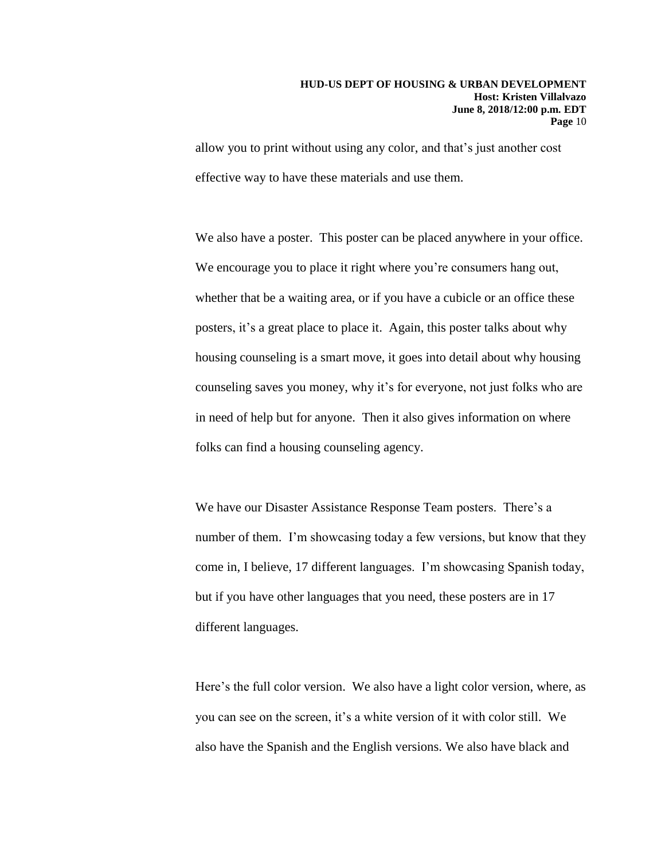allow you to print without using any color, and that's just another cost effective way to have these materials and use them.

We also have a poster. This poster can be placed anywhere in your office. We encourage you to place it right where you're consumers hang out, whether that be a waiting area, or if you have a cubicle or an office these posters, it's a great place to place it. Again, this poster talks about why housing counseling is a smart move, it goes into detail about why housing counseling saves you money, why it's for everyone, not just folks who are in need of help but for anyone. Then it also gives information on where folks can find a housing counseling agency.

We have our Disaster Assistance Response Team posters. There's a number of them. I'm showcasing today a few versions, but know that they come in, I believe, 17 different languages. I'm showcasing Spanish today, but if you have other languages that you need, these posters are in 17 different languages.

Here's the full color version. We also have a light color version, where, as you can see on the screen, it's a white version of it with color still. We also have the Spanish and the English versions. We also have black and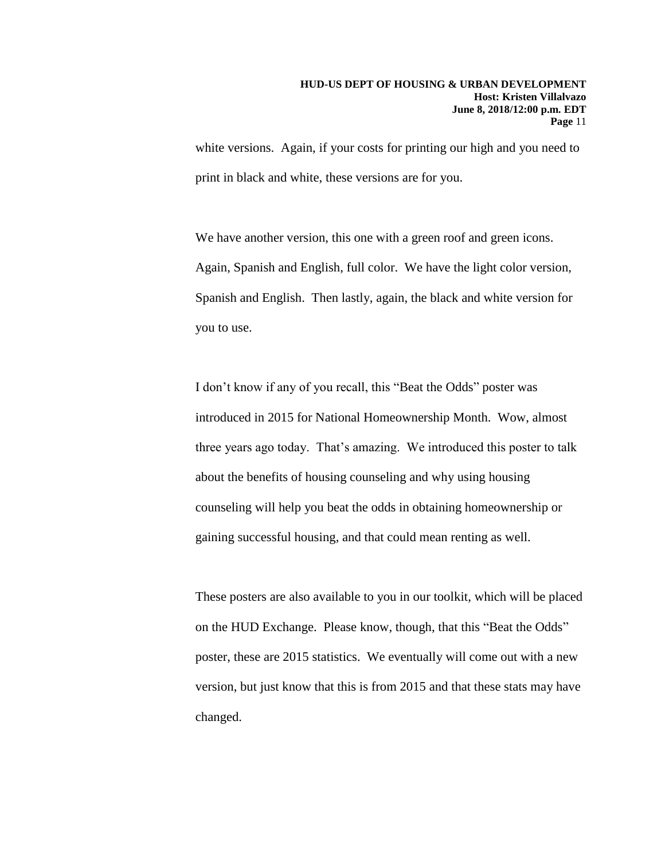white versions. Again, if your costs for printing our high and you need to print in black and white, these versions are for you.

We have another version, this one with a green roof and green icons. Again, Spanish and English, full color. We have the light color version, Spanish and English. Then lastly, again, the black and white version for you to use.

I don't know if any of you recall, this "Beat the Odds" poster was introduced in 2015 for National Homeownership Month. Wow, almost three years ago today. That's amazing. We introduced this poster to talk about the benefits of housing counseling and why using housing counseling will help you beat the odds in obtaining homeownership or gaining successful housing, and that could mean renting as well.

These posters are also available to you in our toolkit, which will be placed on the HUD Exchange. Please know, though, that this "Beat the Odds" poster, these are 2015 statistics. We eventually will come out with a new version, but just know that this is from 2015 and that these stats may have changed.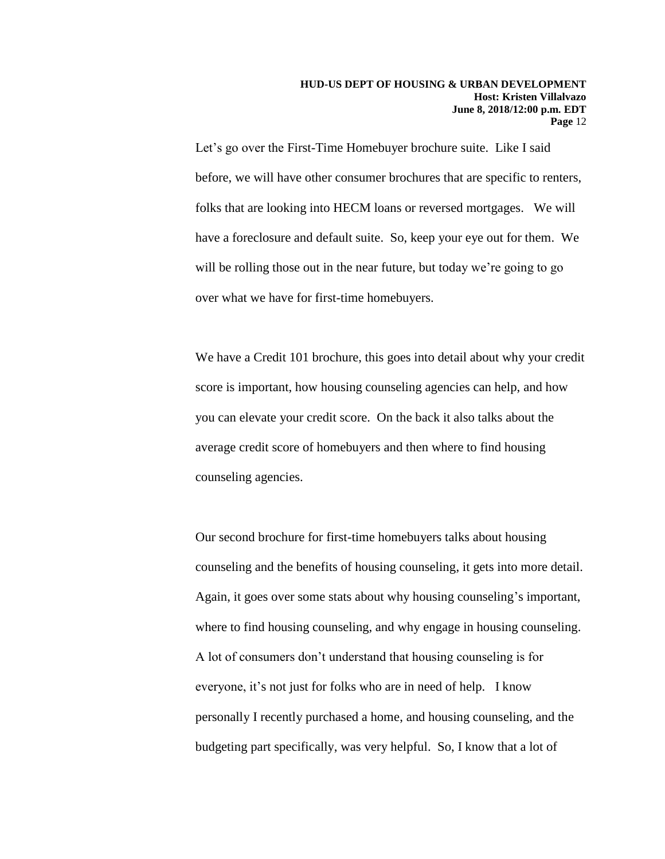Let's go over the First-Time Homebuyer brochure suite. Like I said before, we will have other consumer brochures that are specific to renters, folks that are looking into HECM loans or reversed mortgages. We will have a foreclosure and default suite. So, keep your eye out for them. We will be rolling those out in the near future, but today we're going to go over what we have for first-time homebuyers.

We have a Credit 101 brochure, this goes into detail about why your credit score is important, how housing counseling agencies can help, and how you can elevate your credit score. On the back it also talks about the average credit score of homebuyers and then where to find housing counseling agencies.

Our second brochure for first-time homebuyers talks about housing counseling and the benefits of housing counseling, it gets into more detail. Again, it goes over some stats about why housing counseling's important, where to find housing counseling, and why engage in housing counseling. A lot of consumers don't understand that housing counseling is for everyone, it's not just for folks who are in need of help. I know personally I recently purchased a home, and housing counseling, and the budgeting part specifically, was very helpful. So, I know that a lot of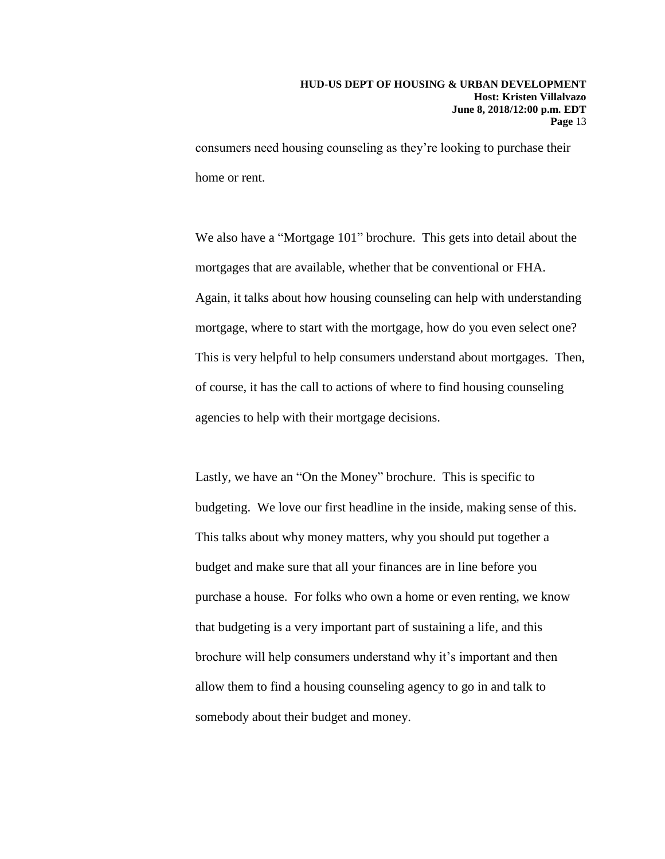consumers need housing counseling as they're looking to purchase their home or rent.

We also have a "Mortgage 101" brochure. This gets into detail about the mortgages that are available, whether that be conventional or FHA. Again, it talks about how housing counseling can help with understanding mortgage, where to start with the mortgage, how do you even select one? This is very helpful to help consumers understand about mortgages. Then, of course, it has the call to actions of where to find housing counseling agencies to help with their mortgage decisions.

Lastly, we have an "On the Money" brochure. This is specific to budgeting. We love our first headline in the inside, making sense of this. This talks about why money matters, why you should put together a budget and make sure that all your finances are in line before you purchase a house. For folks who own a home or even renting, we know that budgeting is a very important part of sustaining a life, and this brochure will help consumers understand why it's important and then allow them to find a housing counseling agency to go in and talk to somebody about their budget and money.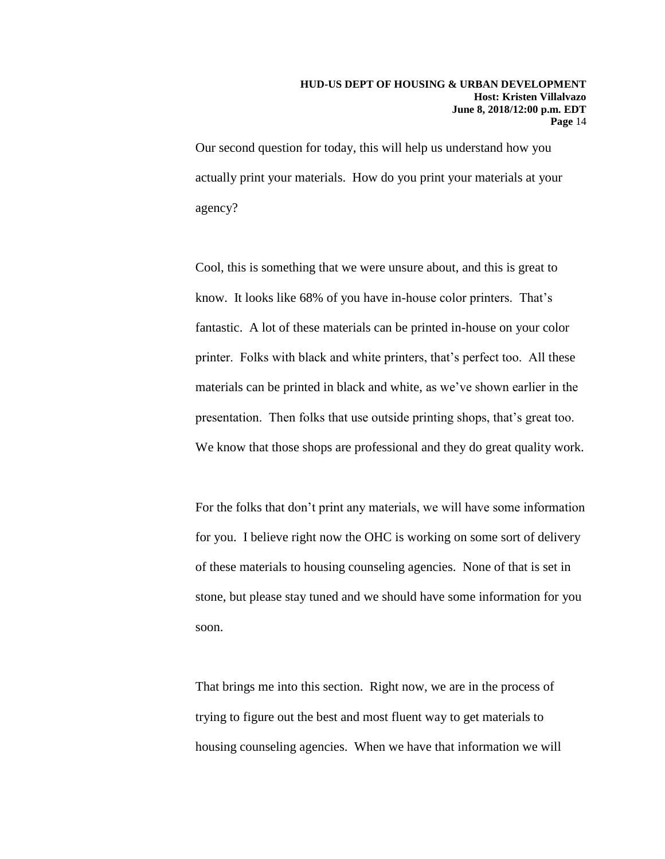Our second question for today, this will help us understand how you actually print your materials. How do you print your materials at your agency?

Cool, this is something that we were unsure about, and this is great to know. It looks like 68% of you have in-house color printers. That's fantastic. A lot of these materials can be printed in-house on your color printer. Folks with black and white printers, that's perfect too. All these materials can be printed in black and white, as we've shown earlier in the presentation. Then folks that use outside printing shops, that's great too. We know that those shops are professional and they do great quality work.

For the folks that don't print any materials, we will have some information for you. I believe right now the OHC is working on some sort of delivery of these materials to housing counseling agencies. None of that is set in stone, but please stay tuned and we should have some information for you soon.

That brings me into this section. Right now, we are in the process of trying to figure out the best and most fluent way to get materials to housing counseling agencies. When we have that information we will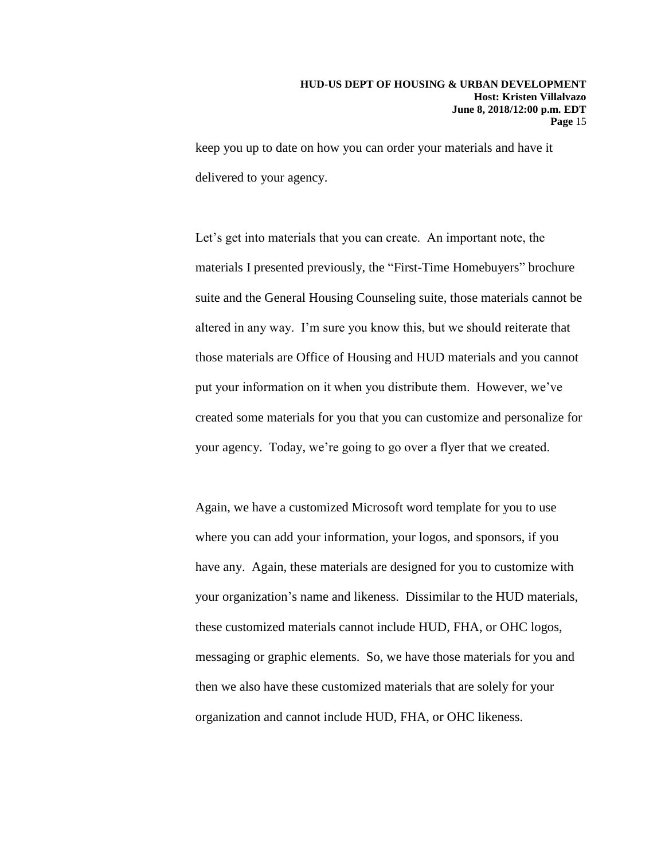keep you up to date on how you can order your materials and have it delivered to your agency.

Let's get into materials that you can create. An important note, the materials I presented previously, the "First-Time Homebuyers" brochure suite and the General Housing Counseling suite, those materials cannot be altered in any way. I'm sure you know this, but we should reiterate that those materials are Office of Housing and HUD materials and you cannot put your information on it when you distribute them. However, we've created some materials for you that you can customize and personalize for your agency. Today, we're going to go over a flyer that we created.

Again, we have a customized Microsoft word template for you to use where you can add your information, your logos, and sponsors, if you have any. Again, these materials are designed for you to customize with your organization's name and likeness. Dissimilar to the HUD materials, these customized materials cannot include HUD, FHA, or OHC logos, messaging or graphic elements. So, we have those materials for you and then we also have these customized materials that are solely for your organization and cannot include HUD, FHA, or OHC likeness.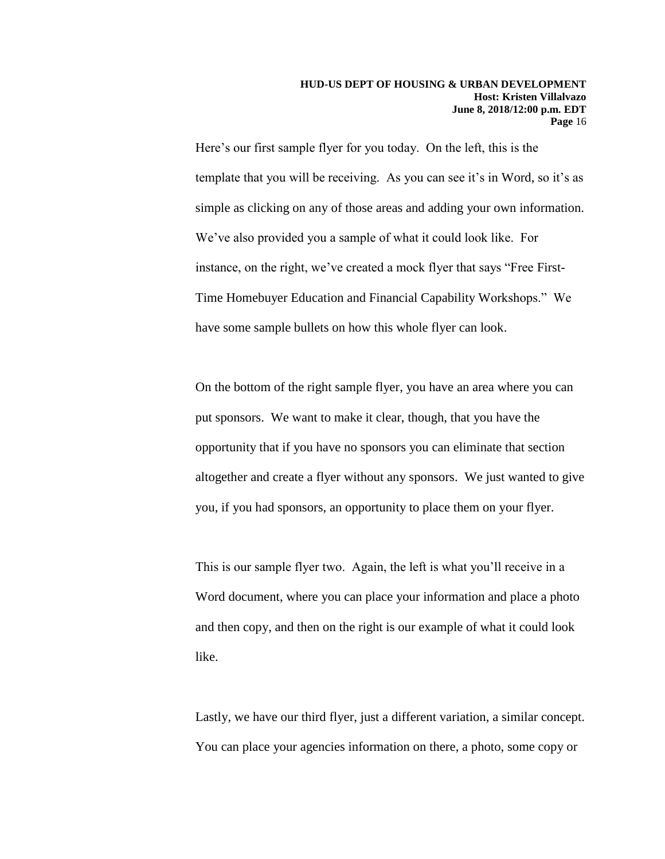Here's our first sample flyer for you today. On the left, this is the template that you will be receiving. As you can see it's in Word, so it's as simple as clicking on any of those areas and adding your own information. We've also provided you a sample of what it could look like. For instance, on the right, we've created a mock flyer that says "Free First-Time Homebuyer Education and Financial Capability Workshops." We have some sample bullets on how this whole flyer can look.

On the bottom of the right sample flyer, you have an area where you can put sponsors. We want to make it clear, though, that you have the opportunity that if you have no sponsors you can eliminate that section altogether and create a flyer without any sponsors. We just wanted to give you, if you had sponsors, an opportunity to place them on your flyer.

This is our sample flyer two. Again, the left is what you'll receive in a Word document, where you can place your information and place a photo and then copy, and then on the right is our example of what it could look like.

Lastly, we have our third flyer, just a different variation, a similar concept. You can place your agencies information on there, a photo, some copy or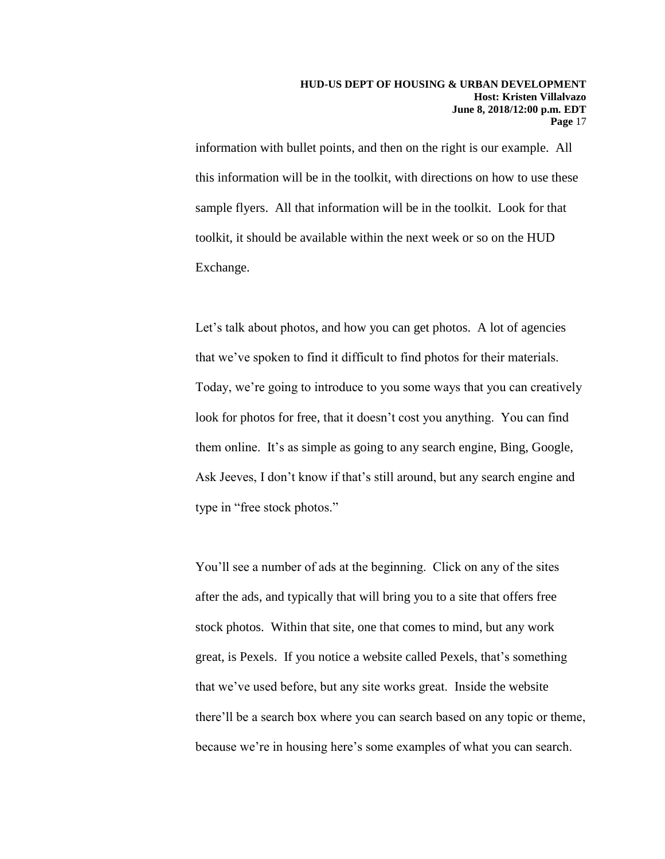information with bullet points, and then on the right is our example. All this information will be in the toolkit, with directions on how to use these sample flyers. All that information will be in the toolkit. Look for that toolkit, it should be available within the next week or so on the HUD Exchange.

Let's talk about photos, and how you can get photos. A lot of agencies that we've spoken to find it difficult to find photos for their materials. Today, we're going to introduce to you some ways that you can creatively look for photos for free, that it doesn't cost you anything. You can find them online. It's as simple as going to any search engine, Bing, Google, Ask Jeeves, I don't know if that's still around, but any search engine and type in "free stock photos."

You'll see a number of ads at the beginning. Click on any of the sites after the ads, and typically that will bring you to a site that offers free stock photos. Within that site, one that comes to mind, but any work great, is Pexels. If you notice a website called Pexels, that's something that we've used before, but any site works great. Inside the website there'll be a search box where you can search based on any topic or theme, because we're in housing here's some examples of what you can search.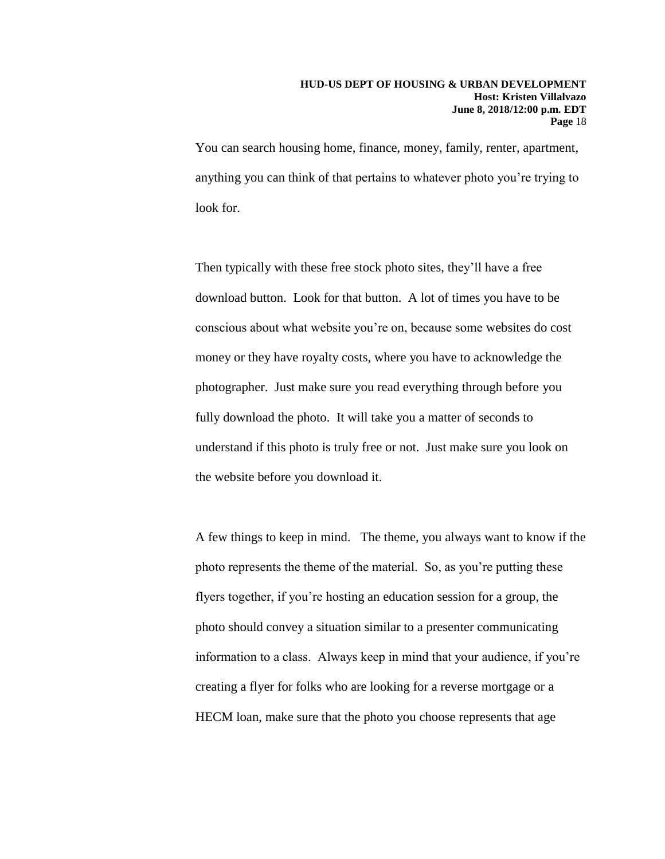You can search housing home, finance, money, family, renter, apartment, anything you can think of that pertains to whatever photo you're trying to look for.

Then typically with these free stock photo sites, they'll have a free download button. Look for that button. A lot of times you have to be conscious about what website you're on, because some websites do cost money or they have royalty costs, where you have to acknowledge the photographer. Just make sure you read everything through before you fully download the photo. It will take you a matter of seconds to understand if this photo is truly free or not. Just make sure you look on the website before you download it.

A few things to keep in mind. The theme, you always want to know if the photo represents the theme of the material. So, as you're putting these flyers together, if you're hosting an education session for a group, the photo should convey a situation similar to a presenter communicating information to a class. Always keep in mind that your audience, if you're creating a flyer for folks who are looking for a reverse mortgage or a HECM loan, make sure that the photo you choose represents that age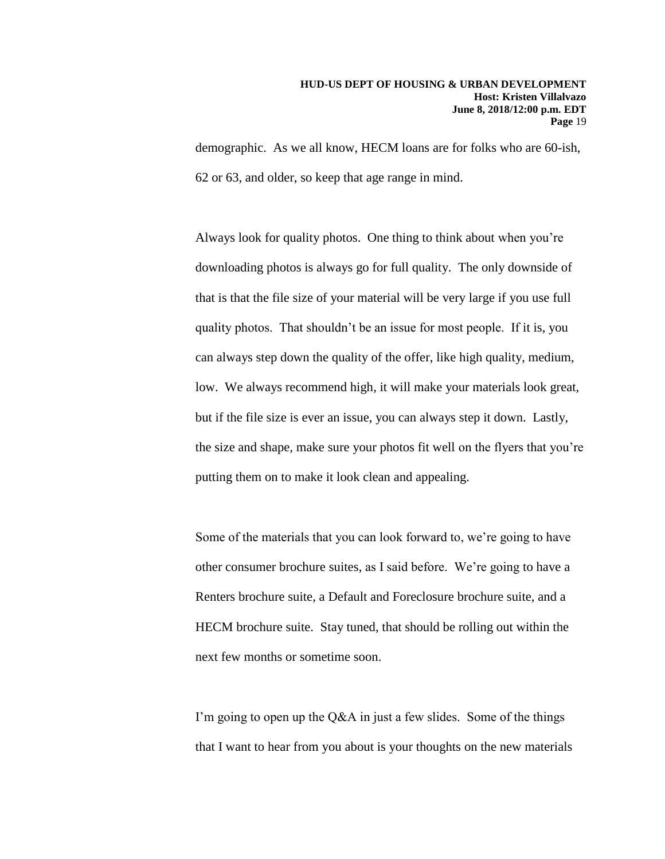demographic. As we all know, HECM loans are for folks who are 60-ish, 62 or 63, and older, so keep that age range in mind.

Always look for quality photos. One thing to think about when you're downloading photos is always go for full quality. The only downside of that is that the file size of your material will be very large if you use full quality photos. That shouldn't be an issue for most people. If it is, you can always step down the quality of the offer, like high quality, medium, low. We always recommend high, it will make your materials look great, but if the file size is ever an issue, you can always step it down. Lastly, the size and shape, make sure your photos fit well on the flyers that you're putting them on to make it look clean and appealing.

Some of the materials that you can look forward to, we're going to have other consumer brochure suites, as I said before. We're going to have a Renters brochure suite, a Default and Foreclosure brochure suite, and a HECM brochure suite. Stay tuned, that should be rolling out within the next few months or sometime soon.

I'm going to open up the Q&A in just a few slides. Some of the things that I want to hear from you about is your thoughts on the new materials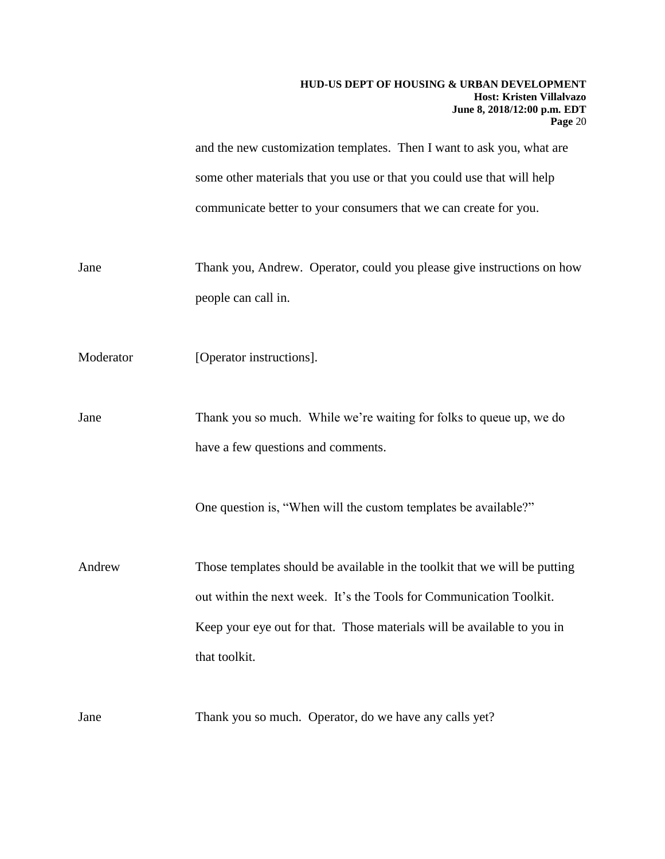|           | HUD-US DEPT OF HOUSING & URBAN DEVELOPMENT<br>Host: Kristen Villalvazo<br>June 8, 2018/12:00 p.m. EDT<br>Page 20 |
|-----------|------------------------------------------------------------------------------------------------------------------|
|           | and the new customization templates. Then I want to ask you, what are                                            |
|           | some other materials that you use or that you could use that will help                                           |
|           | communicate better to your consumers that we can create for you.                                                 |
| Jane      | Thank you, Andrew. Operator, could you please give instructions on how                                           |
|           | people can call in.                                                                                              |
| Moderator | [Operator instructions].                                                                                         |
| Jane      | Thank you so much. While we're waiting for folks to queue up, we do                                              |
|           | have a few questions and comments.                                                                               |
|           | One question is, "When will the custom templates be available?"                                                  |
| Andrew    | Those templates should be available in the toolkit that we will be putting                                       |
|           | out within the next week. It's the Tools for Communication Toolkit.                                              |
|           | Keep your eye out for that. Those materials will be available to you in                                          |
|           | that toolkit.                                                                                                    |
| Jane      | Thank you so much. Operator, do we have any calls yet?                                                           |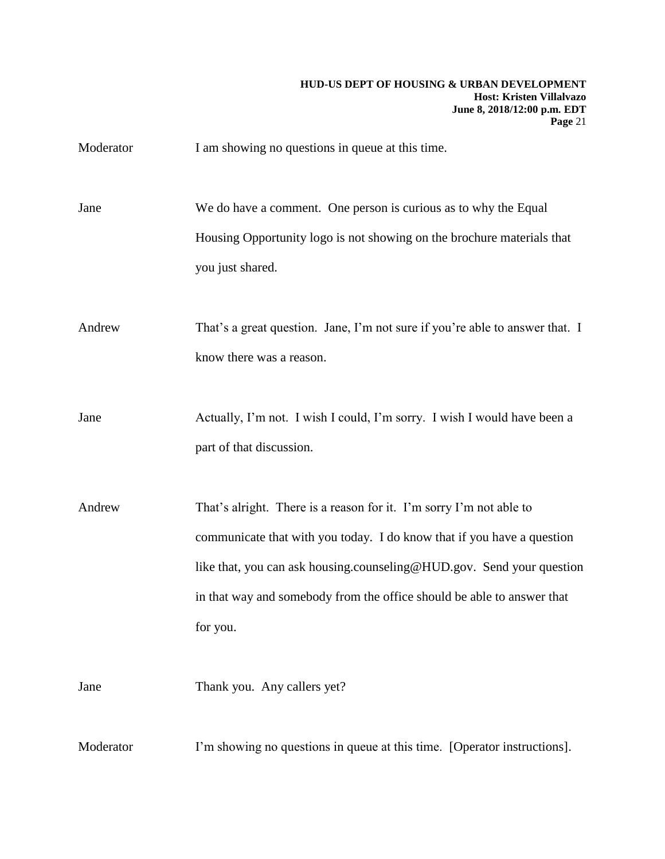Moderator I am showing no questions in queue at this time.

Jane We do have a comment. One person is curious as to why the Equal Housing Opportunity logo is not showing on the brochure materials that you just shared.

Andrew That's a great question. Jane, I'm not sure if you're able to answer that. I know there was a reason.

Jane Actually, I'm not. I wish I could, I'm sorry. I wish I would have been a part of that discussion.

Andrew That's alright. There is a reason for it. I'm sorry I'm not able to communicate that with you today. I do know that if you have a question like that, you can ask housing.counseling@HUD.gov. Send your question in that way and somebody from the office should be able to answer that for you.

Jane Thank you. Any callers yet?

Moderator I'm showing no questions in queue at this time. [Operator instructions].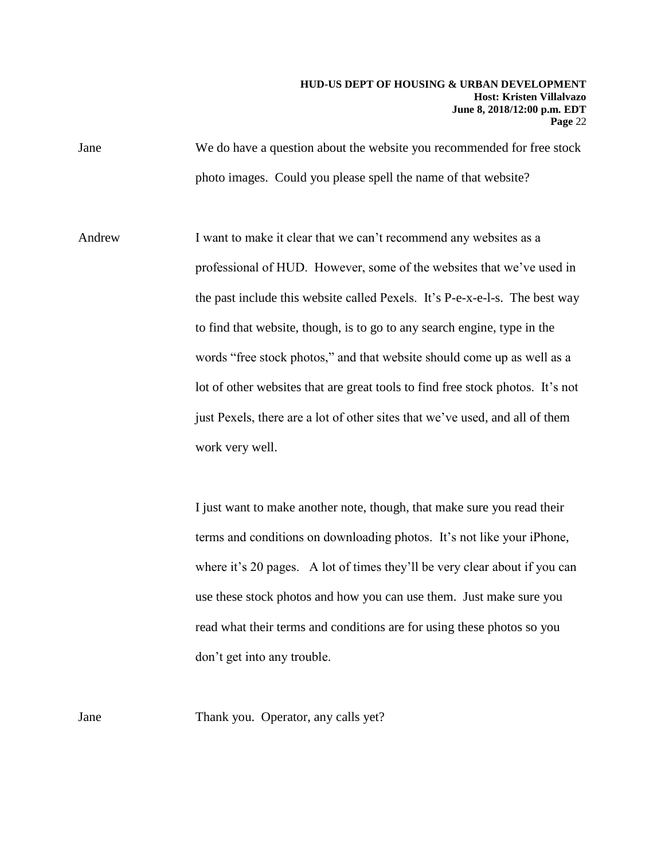Jane We do have a question about the website you recommended for free stock photo images. Could you please spell the name of that website?

Andrew I want to make it clear that we can't recommend any websites as a professional of HUD. However, some of the websites that we've used in the past include this website called Pexels. It's P-e-x-e-l-s. The best way to find that website, though, is to go to any search engine, type in the words "free stock photos," and that website should come up as well as a lot of other websites that are great tools to find free stock photos. It's not just Pexels, there are a lot of other sites that we've used, and all of them work very well.

> I just want to make another note, though, that make sure you read their terms and conditions on downloading photos. It's not like your iPhone, where it's 20 pages. A lot of times they'll be very clear about if you can use these stock photos and how you can use them. Just make sure you read what their terms and conditions are for using these photos so you don't get into any trouble.

Jane Thank you. Operator, any calls yet?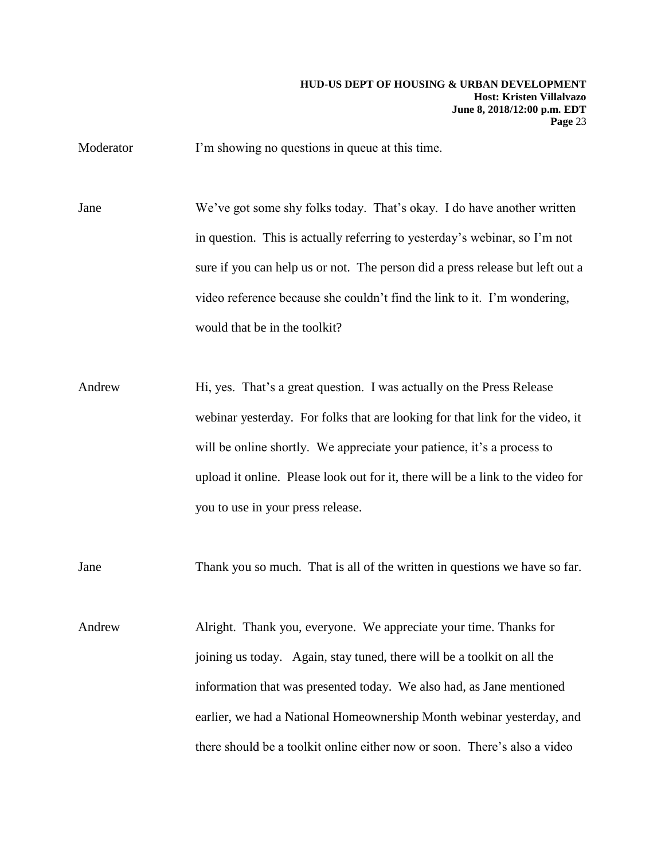Moderator I'm showing no questions in queue at this time.

Jane We've got some shy folks today. That's okay. I do have another written in question. This is actually referring to yesterday's webinar, so I'm not sure if you can help us or not. The person did a press release but left out a video reference because she couldn't find the link to it. I'm wondering, would that be in the toolkit?

Andrew Hi, yes. That's a great question. I was actually on the Press Release webinar yesterday. For folks that are looking for that link for the video, it will be online shortly. We appreciate your patience, it's a process to upload it online. Please look out for it, there will be a link to the video for you to use in your press release.

Jane Thank you so much. That is all of the written in questions we have so far.

Andrew Alright. Thank you, everyone. We appreciate your time. Thanks for joining us today. Again, stay tuned, there will be a toolkit on all the information that was presented today. We also had, as Jane mentioned earlier, we had a National Homeownership Month webinar yesterday, and there should be a toolkit online either now or soon. There's also a video